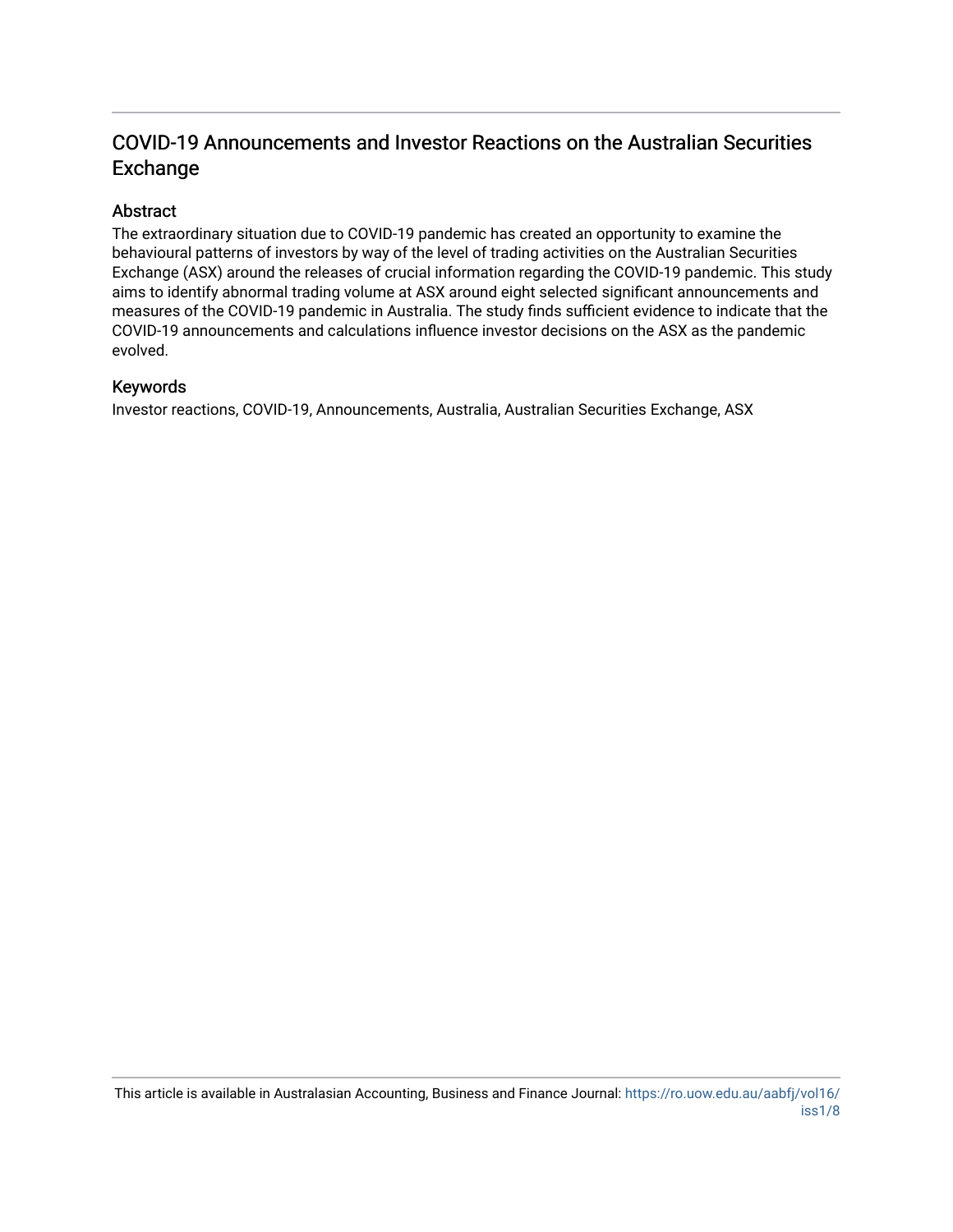# COVID-19 Announcements and Investor Reactions on the Australian Securities Exchange

## Abstract

The extraordinary situation due to COVID-19 pandemic has created an opportunity to examine the behavioural patterns of investors by way of the level of trading activities on the Australian Securities Exchange (ASX) around the releases of crucial information regarding the COVID-19 pandemic. This study aims to identify abnormal trading volume at ASX around eight selected significant announcements and measures of the COVID-19 pandemic in Australia. The study finds sufficient evidence to indicate that the COVID-19 announcements and calculations influence investor decisions on the ASX as the pandemic evolved.

#### Keywords

Investor reactions, COVID-19, Announcements, Australia, Australian Securities Exchange, ASX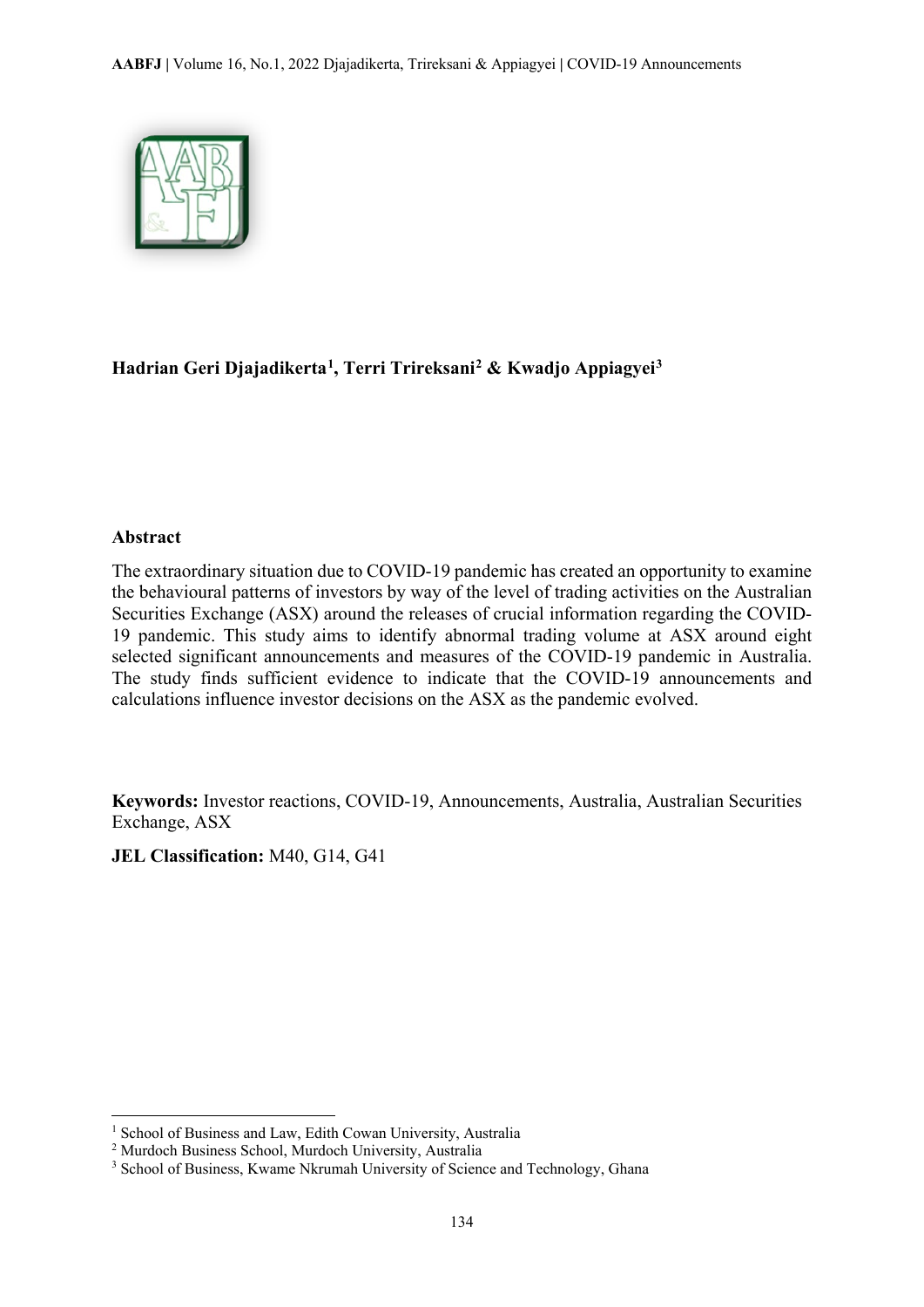

# **Hadrian Geri Djajadikerta[1](#page-1-0), Terri Trireksani[2](#page-1-1) & Kwadjo Appiagyei[3](#page-1-2)**

#### **Abstract**

 $\overline{\phantom{a}}$ 

The extraordinary situation due to COVID-19 pandemic has created an opportunity to examine the behavioural patterns of investors by way of the level of trading activities on the Australian Securities Exchange (ASX) around the releases of crucial information regarding the COVID-19 pandemic. This study aims to identify abnormal trading volume at ASX around eight selected significant announcements and measures of the COVID-19 pandemic in Australia. The study finds sufficient evidence to indicate that the COVID-19 announcements and calculations influence investor decisions on the ASX as the pandemic evolved.

**Keywords:** Investor reactions, COVID-19, Announcements, Australia, Australian Securities Exchange, ASX

**JEL Classification:** M40, G14, G41

<span id="page-1-0"></span><sup>1</sup> School of Business and Law, Edith Cowan University, Australia

<span id="page-1-1"></span><sup>2</sup> Murdoch Business School, Murdoch University, Australia

<span id="page-1-2"></span><sup>&</sup>lt;sup>3</sup> School of Business, Kwame Nkrumah University of Science and Technology, Ghana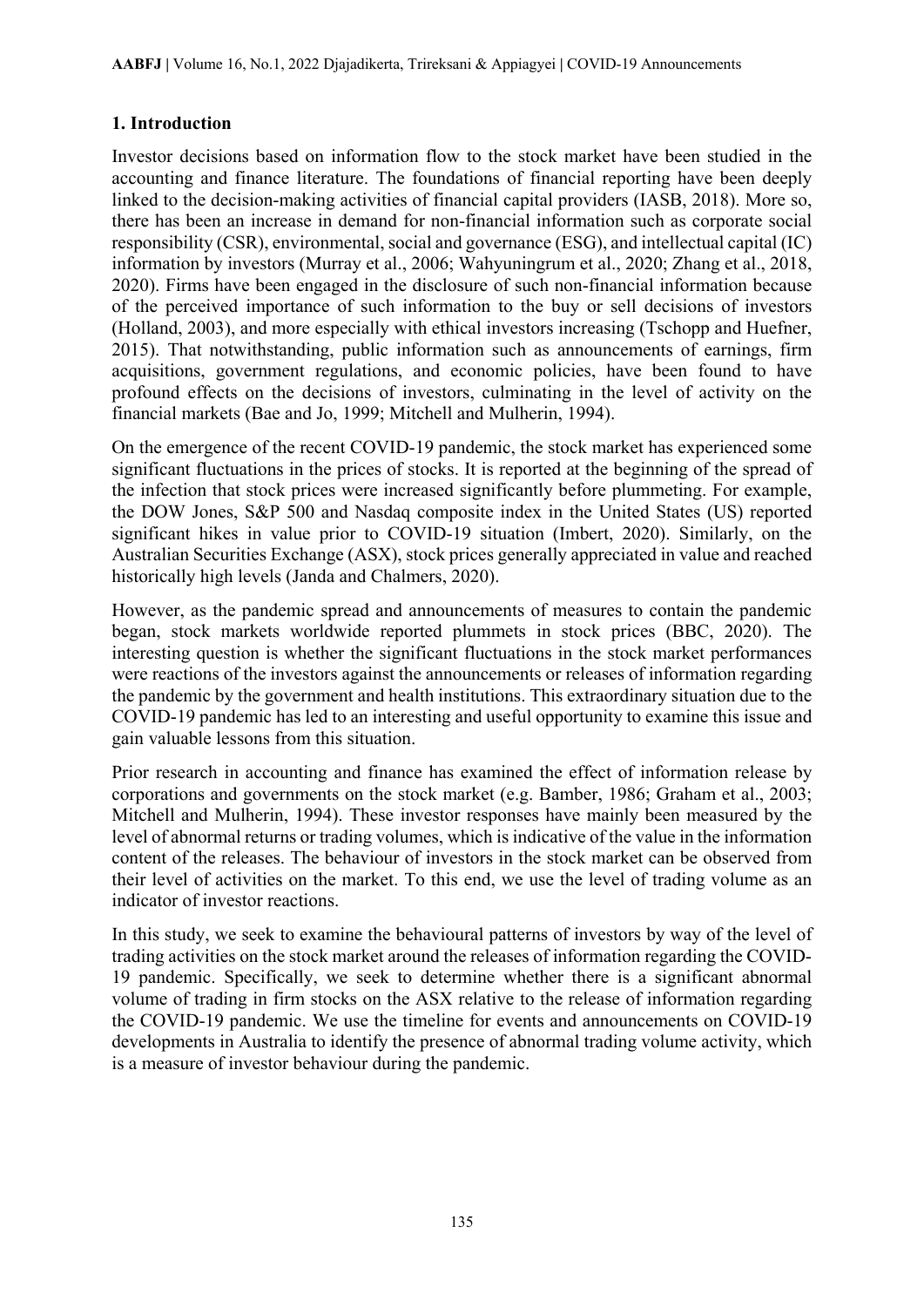## **1. Introduction**

Investor decisions based on information flow to the stock market have been studied in the accounting and finance literature. The foundations of financial reporting have been deeply linked to the decision-making activities of financial capital providers (IASB, 2018). More so, there has been an increase in demand for non-financial information such as corporate social responsibility (CSR), environmental, social and governance (ESG), and intellectual capital (IC) information by investors (Murray et al., 2006; Wahyuningrum et al., 2020; Zhang et al., 2018, 2020). Firms have been engaged in the disclosure of such non-financial information because of the perceived importance of such information to the buy or sell decisions of investors (Holland, 2003), and more especially with ethical investors increasing (Tschopp and Huefner, 2015). That notwithstanding, public information such as announcements of earnings, firm acquisitions, government regulations, and economic policies, have been found to have profound effects on the decisions of investors, culminating in the level of activity on the financial markets (Bae and Jo, 1999; Mitchell and Mulherin, 1994).

On the emergence of the recent COVID-19 pandemic, the stock market has experienced some significant fluctuations in the prices of stocks. It is reported at the beginning of the spread of the infection that stock prices were increased significantly before plummeting. For example, the DOW Jones, S&P 500 and Nasdaq composite index in the United States (US) reported significant hikes in value prior to COVID-19 situation (Imbert, 2020). Similarly, on the Australian Securities Exchange (ASX), stock prices generally appreciated in value and reached historically high levels (Janda and Chalmers, 2020).

However, as the pandemic spread and announcements of measures to contain the pandemic began, stock markets worldwide reported plummets in stock prices (BBC, 2020). The interesting question is whether the significant fluctuations in the stock market performances were reactions of the investors against the announcements or releases of information regarding the pandemic by the government and health institutions. This extraordinary situation due to the COVID-19 pandemic has led to an interesting and useful opportunity to examine this issue and gain valuable lessons from this situation.

Prior research in accounting and finance has examined the effect of information release by corporations and governments on the stock market (e.g. Bamber, 1986; Graham et al., 2003; Mitchell and Mulherin, 1994). These investor responses have mainly been measured by the level of abnormal returns or trading volumes, which is indicative of the value in the information content of the releases. The behaviour of investors in the stock market can be observed from their level of activities on the market. To this end, we use the level of trading volume as an indicator of investor reactions.

In this study, we seek to examine the behavioural patterns of investors by way of the level of trading activities on the stock market around the releases of information regarding the COVID-19 pandemic. Specifically, we seek to determine whether there is a significant abnormal volume of trading in firm stocks on the ASX relative to the release of information regarding the COVID-19 pandemic. We use the timeline for events and announcements on COVID-19 developments in Australia to identify the presence of abnormal trading volume activity, which is a measure of investor behaviour during the pandemic.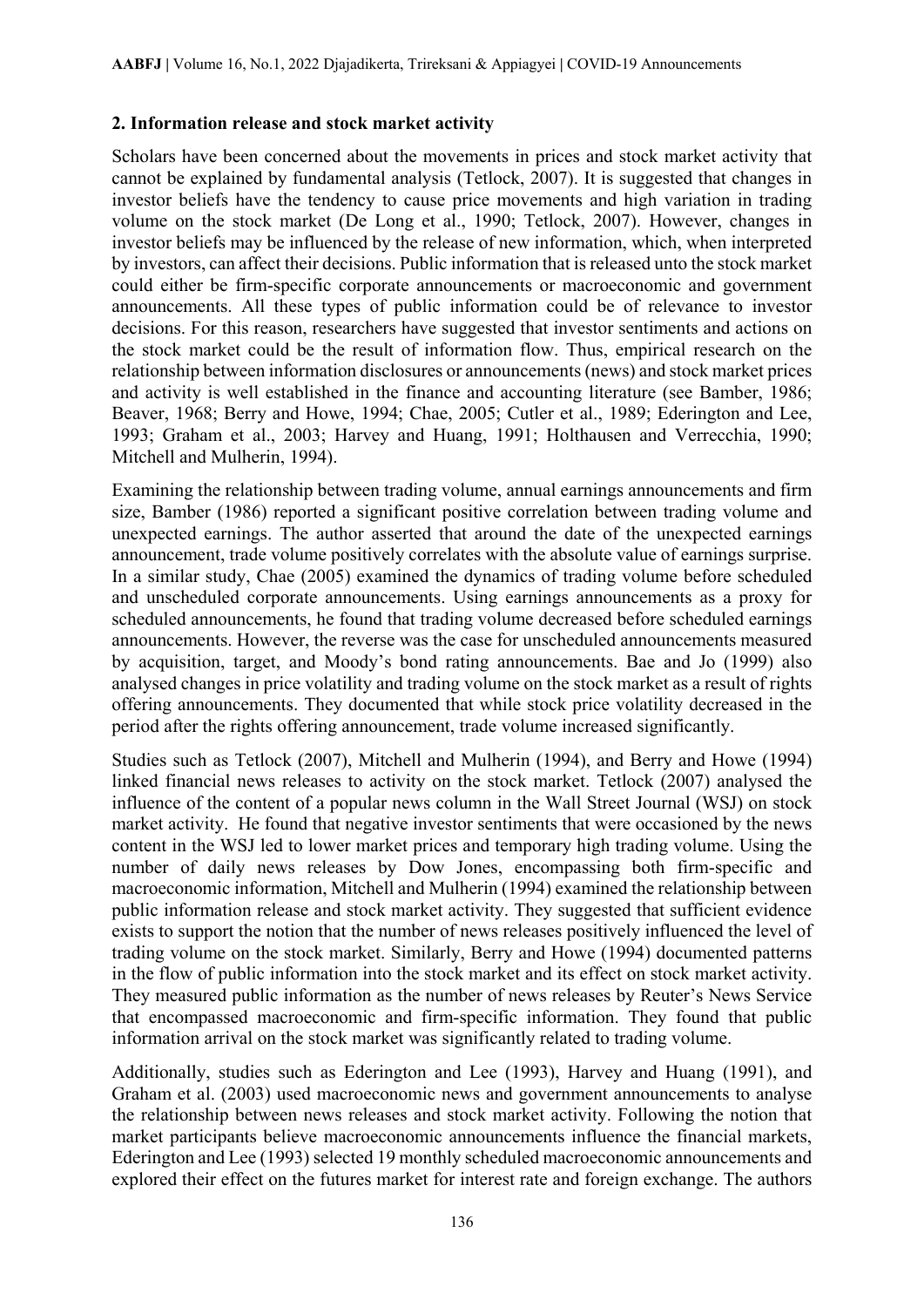## **2. Information release and stock market activity**

Scholars have been concerned about the movements in prices and stock market activity that cannot be explained by fundamental analysis (Tetlock, 2007). It is suggested that changes in investor beliefs have the tendency to cause price movements and high variation in trading volume on the stock market (De Long et al., 1990; Tetlock, 2007). However, changes in investor beliefs may be influenced by the release of new information, which, when interpreted by investors, can affect their decisions. Public information that is released unto the stock market could either be firm-specific corporate announcements or macroeconomic and government announcements. All these types of public information could be of relevance to investor decisions. For this reason, researchers have suggested that investor sentiments and actions on the stock market could be the result of information flow. Thus, empirical research on the relationship between information disclosures or announcements (news) and stock market prices and activity is well established in the finance and accounting literature (see Bamber, 1986; Beaver, 1968; Berry and Howe, 1994; Chae, 2005; Cutler et al., 1989; Ederington and Lee, 1993; Graham et al., 2003; Harvey and Huang, 1991; Holthausen and Verrecchia, 1990; Mitchell and Mulherin, 1994).

Examining the relationship between trading volume, annual earnings announcements and firm size, Bamber (1986) reported a significant positive correlation between trading volume and unexpected earnings. The author asserted that around the date of the unexpected earnings announcement, trade volume positively correlates with the absolute value of earnings surprise. In a similar study, Chae (2005) examined the dynamics of trading volume before scheduled and unscheduled corporate announcements. Using earnings announcements as a proxy for scheduled announcements, he found that trading volume decreased before scheduled earnings announcements. However, the reverse was the case for unscheduled announcements measured by acquisition, target, and Moody's bond rating announcements. Bae and Jo (1999) also analysed changes in price volatility and trading volume on the stock market as a result of rights offering announcements. They documented that while stock price volatility decreased in the period after the rights offering announcement, trade volume increased significantly.

Studies such as Tetlock (2007), Mitchell and Mulherin (1994), and Berry and Howe (1994) linked financial news releases to activity on the stock market. Tetlock (2007) analysed the influence of the content of a popular news column in the Wall Street Journal (WSJ) on stock market activity. He found that negative investor sentiments that were occasioned by the news content in the WSJ led to lower market prices and temporary high trading volume. Using the number of daily news releases by Dow Jones, encompassing both firm-specific and macroeconomic information, Mitchell and Mulherin (1994) examined the relationship between public information release and stock market activity. They suggested that sufficient evidence exists to support the notion that the number of news releases positively influenced the level of trading volume on the stock market. Similarly, Berry and Howe (1994) documented patterns in the flow of public information into the stock market and its effect on stock market activity. They measured public information as the number of news releases by Reuter's News Service that encompassed macroeconomic and firm-specific information. They found that public information arrival on the stock market was significantly related to trading volume.

Additionally, studies such as Ederington and Lee (1993), Harvey and Huang (1991), and Graham et al. (2003) used macroeconomic news and government announcements to analyse the relationship between news releases and stock market activity. Following the notion that market participants believe macroeconomic announcements influence the financial markets, Ederington and Lee (1993) selected 19 monthly scheduled macroeconomic announcements and explored their effect on the futures market for interest rate and foreign exchange. The authors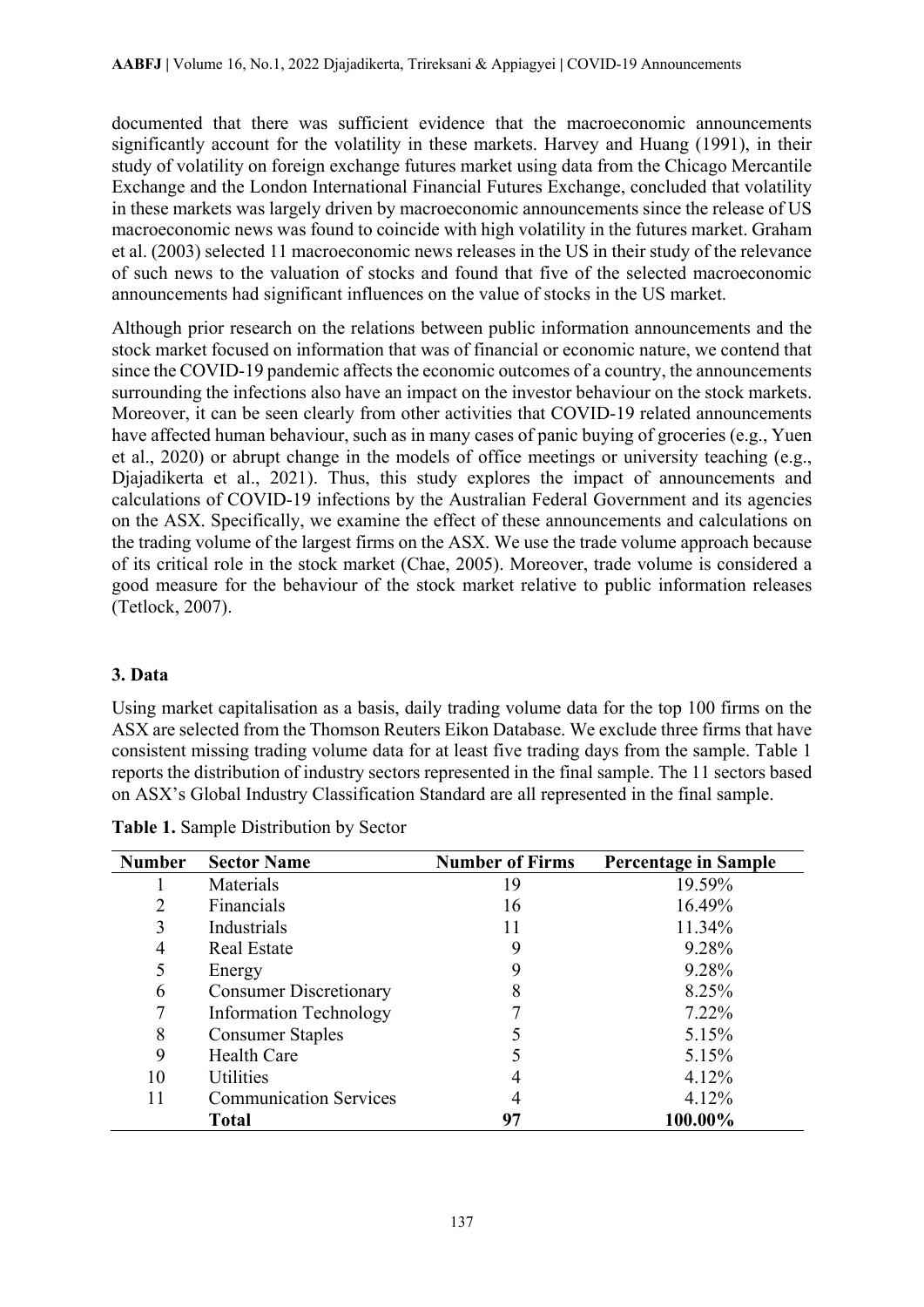documented that there was sufficient evidence that the macroeconomic announcements significantly account for the volatility in these markets. Harvey and Huang (1991), in their study of volatility on foreign exchange futures market using data from the Chicago Mercantile Exchange and the London International Financial Futures Exchange, concluded that volatility in these markets was largely driven by macroeconomic announcements since the release of US macroeconomic news was found to coincide with high volatility in the futures market. Graham et al. (2003) selected 11 macroeconomic news releases in the US in their study of the relevance of such news to the valuation of stocks and found that five of the selected macroeconomic announcements had significant influences on the value of stocks in the US market.

Although prior research on the relations between public information announcements and the stock market focused on information that was of financial or economic nature, we contend that since the COVID-19 pandemic affects the economic outcomes of a country, the announcements surrounding the infections also have an impact on the investor behaviour on the stock markets. Moreover, it can be seen clearly from other activities that COVID-19 related announcements have affected human behaviour, such as in many cases of panic buying of groceries (e.g., Yuen et al., 2020) or abrupt change in the models of office meetings or university teaching (e.g., Djajadikerta et al., 2021). Thus, this study explores the impact of announcements and calculations of COVID-19 infections by the Australian Federal Government and its agencies on the ASX. Specifically, we examine the effect of these announcements and calculations on the trading volume of the largest firms on the ASX. We use the trade volume approach because of its critical role in the stock market (Chae, 2005). Moreover, trade volume is considered a good measure for the behaviour of the stock market relative to public information releases (Tetlock, 2007).

## **3. Data**

Using market capitalisation as a basis, daily trading volume data for the top 100 firms on the ASX are selected from the Thomson Reuters Eikon Database. We exclude three firms that have consistent missing trading volume data for at least five trading days from the sample. Table 1 reports the distribution of industry sectors represented in the final sample. The 11 sectors based on ASX's Global Industry Classification Standard are all represented in the final sample.

| <b>Number</b> | <b>Sector Name</b>            | <b>Number of Firms</b> | <b>Percentage in Sample</b> |
|---------------|-------------------------------|------------------------|-----------------------------|
|               | Materials                     | 19                     | 19.59%                      |
| 2             | Financials                    | 16                     | 16.49%                      |
| 3             | Industrials                   | 11                     | 11.34%                      |
| 4             | <b>Real Estate</b>            | 9                      | 9.28%                       |
|               | Energy                        | 9                      | 9.28%                       |
| 6             | <b>Consumer Discretionary</b> |                        | 8.25%                       |
|               | <b>Information Technology</b> |                        | 7.22%                       |
| 8             | <b>Consumer Staples</b>       |                        | 5.15%                       |
| 9             | <b>Health Care</b>            |                        | 5.15%                       |
| 10            | <b>Utilities</b>              |                        | 4.12%                       |
| 11            | <b>Communication Services</b> |                        | 4.12%                       |
|               | <b>Total</b>                  | 97                     | 100.00%                     |

**Table 1.** Sample Distribution by Sector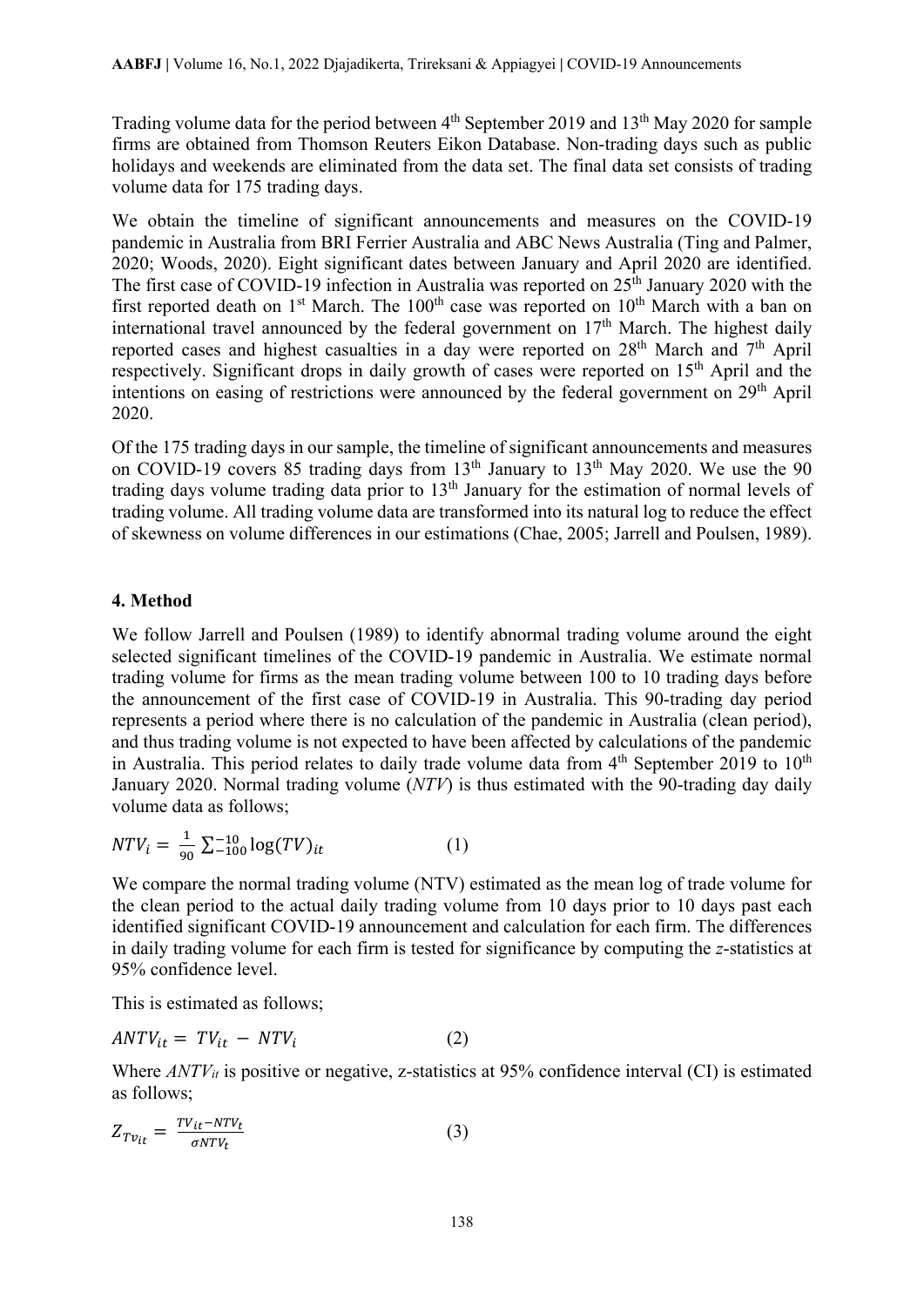Trading volume data for the period between  $4<sup>th</sup>$  September 2019 and 13<sup>th</sup> May 2020 for sample firms are obtained from Thomson Reuters Eikon Database. Non-trading days such as public holidays and weekends are eliminated from the data set. The final data set consists of trading volume data for 175 trading days.

We obtain the timeline of significant announcements and measures on the COVID-19 pandemic in Australia from BRI Ferrier Australia and ABC News Australia (Ting and Palmer, 2020; Woods, 2020). Eight significant dates between January and April 2020 are identified. The first case of COVID-19 infection in Australia was reported on  $25<sup>th</sup>$  January 2020 with the first reported death on 1<sup>st</sup> March. The 100<sup>th</sup> case was reported on 10<sup>th</sup> March with a ban on international travel announced by the federal government on 17<sup>th</sup> March. The highest daily reported cases and highest casualties in a day were reported on 28<sup>th</sup> March and 7<sup>th</sup> April respectively. Significant drops in daily growth of cases were reported on 15<sup>th</sup> April and the intentions on easing of restrictions were announced by the federal government on 29<sup>th</sup> April 2020.

Of the 175 trading days in our sample, the timeline of significant announcements and measures on COVID-19 covers 85 trading days from  $13<sup>th</sup>$  January to  $13<sup>th</sup>$  May 2020. We use the 90 trading days volume trading data prior to  $13<sup>th</sup>$  January for the estimation of normal levels of trading volume. All trading volume data are transformed into its natural log to reduce the effect of skewness on volume differences in our estimations (Chae, 2005; Jarrell and Poulsen, 1989).

## **4. Method**

We follow Jarrell and Poulsen (1989) to identify abnormal trading volume around the eight selected significant timelines of the COVID-19 pandemic in Australia. We estimate normal trading volume for firms as the mean trading volume between 100 to 10 trading days before the announcement of the first case of COVID-19 in Australia. This 90-trading day period represents a period where there is no calculation of the pandemic in Australia (clean period), and thus trading volume is not expected to have been affected by calculations of the pandemic in Australia. This period relates to daily trade volume data from  $4<sup>th</sup>$  September 2019 to 10<sup>th</sup> January 2020. Normal trading volume (*NTV*) is thus estimated with the 90-trading day daily volume data as follows;

$$
NTV_i = \frac{1}{90} \sum_{i=100}^{-10} \log(TV)_{it} \tag{1}
$$

We compare the normal trading volume (NTV) estimated as the mean log of trade volume for the clean period to the actual daily trading volume from 10 days prior to 10 days past each identified significant COVID-19 announcement and calculation for each firm. The differences in daily trading volume for each firm is tested for significance by computing the *z*-statistics at 95% confidence level.

This is estimated as follows;

$$
ANTV_{it} = TV_{it} - NTV_i \tag{2}
$$

Where  $ANTV_{it}$  is positive or negative, z-statistics at 95% confidence interval (CI) is estimated as follows;

$$
Z_{T v_{it}} = \frac{TV_{it} - NTV_{t}}{\sigma NTV_{t}} \tag{3}
$$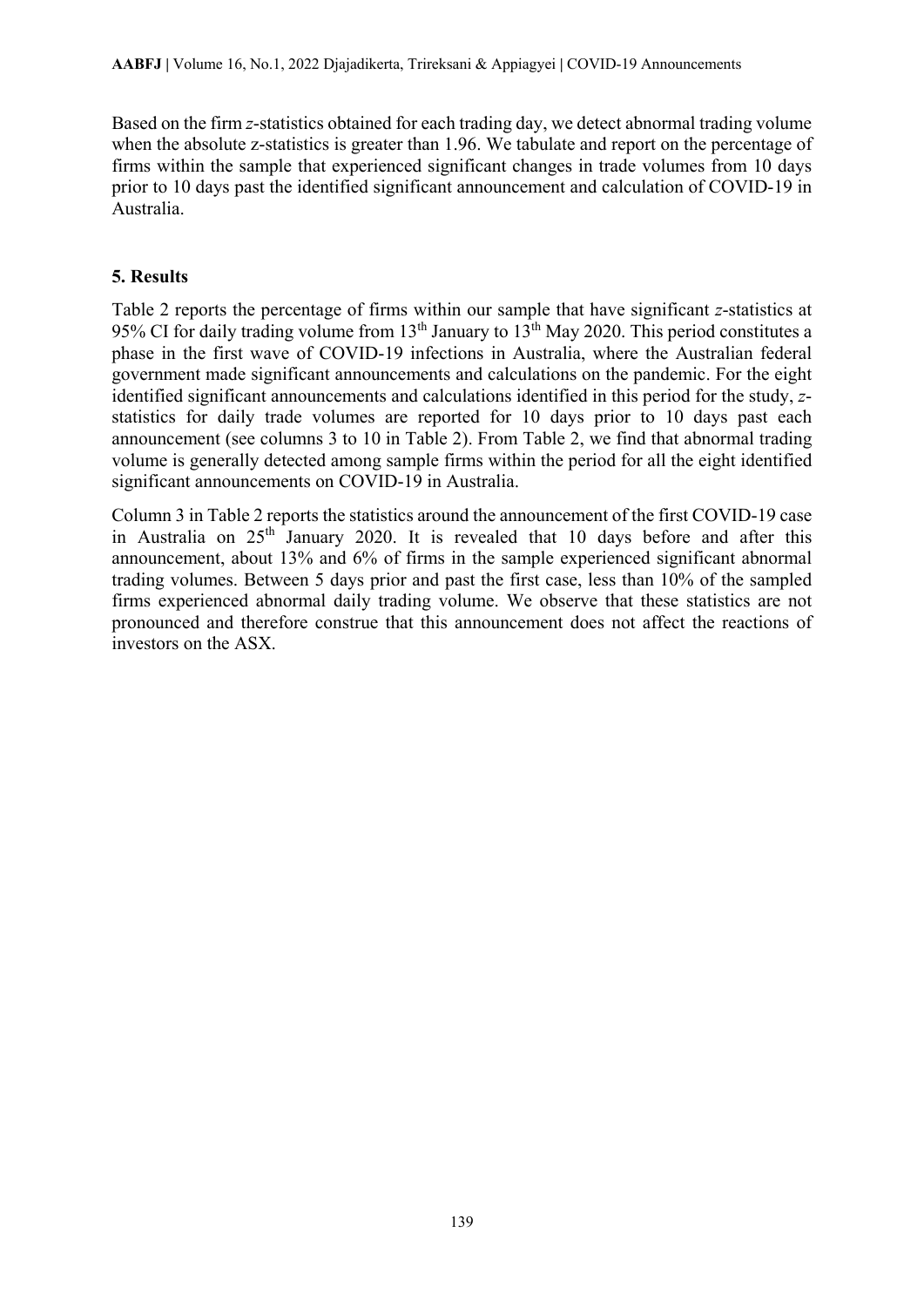Based on the firm *z*-statistics obtained for each trading day, we detect abnormal trading volume when the absolute z-statistics is greater than 1.96. We tabulate and report on the percentage of firms within the sample that experienced significant changes in trade volumes from 10 days prior to 10 days past the identified significant announcement and calculation of COVID-19 in Australia.

## **5. Results**

Table 2 reports the percentage of firms within our sample that have significant *z*-statistics at 95% CI for daily trading volume from 13<sup>th</sup> January to 13<sup>th</sup> May 2020. This period constitutes a phase in the first wave of COVID-19 infections in Australia, where the Australian federal government made significant announcements and calculations on the pandemic. For the eight identified significant announcements and calculations identified in this period for the study, *z*statistics for daily trade volumes are reported for 10 days prior to 10 days past each announcement (see columns 3 to 10 in Table 2). From Table 2, we find that abnormal trading volume is generally detected among sample firms within the period for all the eight identified significant announcements on COVID-19 in Australia.

Column 3 in Table 2 reports the statistics around the announcement of the first COVID-19 case in Australia on  $25<sup>th</sup>$  January 2020. It is revealed that 10 days before and after this announcement, about 13% and 6% of firms in the sample experienced significant abnormal trading volumes. Between 5 days prior and past the first case, less than 10% of the sampled firms experienced abnormal daily trading volume. We observe that these statistics are not pronounced and therefore construe that this announcement does not affect the reactions of investors on the ASX.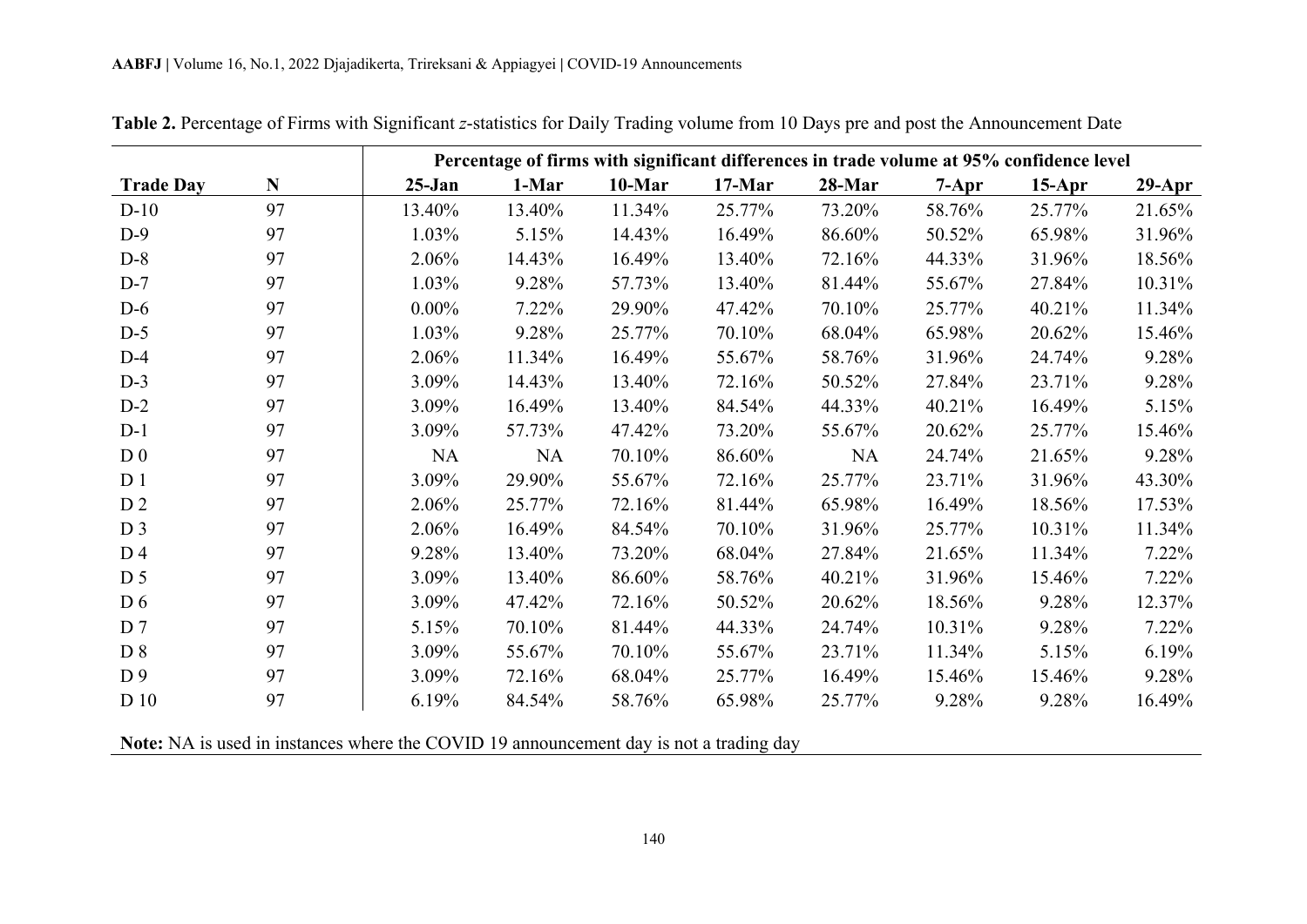|                  |    |           | Percentage of firms with significant differences in trade volume at 95% confidence level |           |          |           |           |          |           |  |
|------------------|----|-----------|------------------------------------------------------------------------------------------|-----------|----------|-----------|-----------|----------|-----------|--|
| <b>Trade Day</b> | N  | $25-Jan$  | 1-Mar                                                                                    | $10$ -Mar | $17-Mar$ | 28-Mar    | $7 - Apr$ | $15-Apr$ | $29$ -Apr |  |
| $D-10$           | 97 | 13.40%    | 13.40%                                                                                   | 11.34%    | 25.77%   | 73.20%    | 58.76%    | 25.77%   | 21.65%    |  |
| $D-9$            | 97 | 1.03%     | 5.15%                                                                                    | 14.43%    | 16.49%   | 86.60%    | 50.52%    | 65.98%   | 31.96%    |  |
| $D-8$            | 97 | 2.06%     | 14.43%                                                                                   | 16.49%    | 13.40%   | 72.16%    | 44.33%    | 31.96%   | 18.56%    |  |
| $D-7$            | 97 | 1.03%     | 9.28%                                                                                    | 57.73%    | 13.40%   | 81.44%    | 55.67%    | 27.84%   | 10.31%    |  |
| $D-6$            | 97 | $0.00\%$  | 7.22%                                                                                    | 29.90%    | 47.42%   | 70.10%    | 25.77%    | 40.21%   | 11.34%    |  |
| $D-5$            | 97 | 1.03%     | 9.28%                                                                                    | 25.77%    | 70.10%   | 68.04%    | 65.98%    | 20.62%   | 15.46%    |  |
| $D-4$            | 97 | 2.06%     | 11.34%                                                                                   | 16.49%    | 55.67%   | 58.76%    | 31.96%    | 24.74%   | 9.28%     |  |
| $D-3$            | 97 | 3.09%     | 14.43%                                                                                   | 13.40%    | 72.16%   | 50.52%    | 27.84%    | 23.71%   | 9.28%     |  |
| $D-2$            | 97 | 3.09%     | 16.49%                                                                                   | 13.40%    | 84.54%   | 44.33%    | 40.21%    | 16.49%   | 5.15%     |  |
| $D-1$            | 97 | 3.09%     | 57.73%                                                                                   | 47.42%    | 73.20%   | 55.67%    | 20.62%    | 25.77%   | 15.46%    |  |
| D <sub>0</sub>   | 97 | <b>NA</b> | <b>NA</b>                                                                                | 70.10%    | 86.60%   | <b>NA</b> | 24.74%    | 21.65%   | 9.28%     |  |
| D <sub>1</sub>   | 97 | 3.09%     | 29.90%                                                                                   | 55.67%    | 72.16%   | 25.77%    | 23.71%    | 31.96%   | 43.30%    |  |
| D <sub>2</sub>   | 97 | 2.06%     | 25.77%                                                                                   | 72.16%    | 81.44%   | 65.98%    | 16.49%    | 18.56%   | 17.53%    |  |
| D <sub>3</sub>   | 97 | 2.06%     | 16.49%                                                                                   | 84.54%    | 70.10%   | 31.96%    | 25.77%    | 10.31%   | 11.34%    |  |
| D <sub>4</sub>   | 97 | 9.28%     | 13.40%                                                                                   | 73.20%    | 68.04%   | 27.84%    | 21.65%    | 11.34%   | 7.22%     |  |
| D <sub>5</sub>   | 97 | 3.09%     | 13.40%                                                                                   | 86.60%    | 58.76%   | 40.21%    | 31.96%    | 15.46%   | 7.22%     |  |
| D <sub>6</sub>   | 97 | 3.09%     | 47.42%                                                                                   | 72.16%    | 50.52%   | 20.62%    | 18.56%    | 9.28%    | 12.37%    |  |
| D <sub>7</sub>   | 97 | 5.15%     | 70.10%                                                                                   | 81.44%    | 44.33%   | 24.74%    | 10.31%    | 9.28%    | 7.22%     |  |
| D 8              | 97 | 3.09%     | 55.67%                                                                                   | 70.10%    | 55.67%   | 23.71%    | 11.34%    | 5.15%    | 6.19%     |  |
| D <sub>9</sub>   | 97 | 3.09%     | 72.16%                                                                                   | 68.04%    | 25.77%   | 16.49%    | 15.46%    | 15.46%   | 9.28%     |  |
| D 10             | 97 | 6.19%     | 84.54%                                                                                   | 58.76%    | 65.98%   | 25.77%    | 9.28%     | 9.28%    | 16.49%    |  |

**Table 2.** Percentage of Firms with Significant *z*-statistics for Daily Trading volume from 10 Days pre and post the Announcement Date

**Note:** NA is used in instances where the COVID 19 announcement day is not a trading day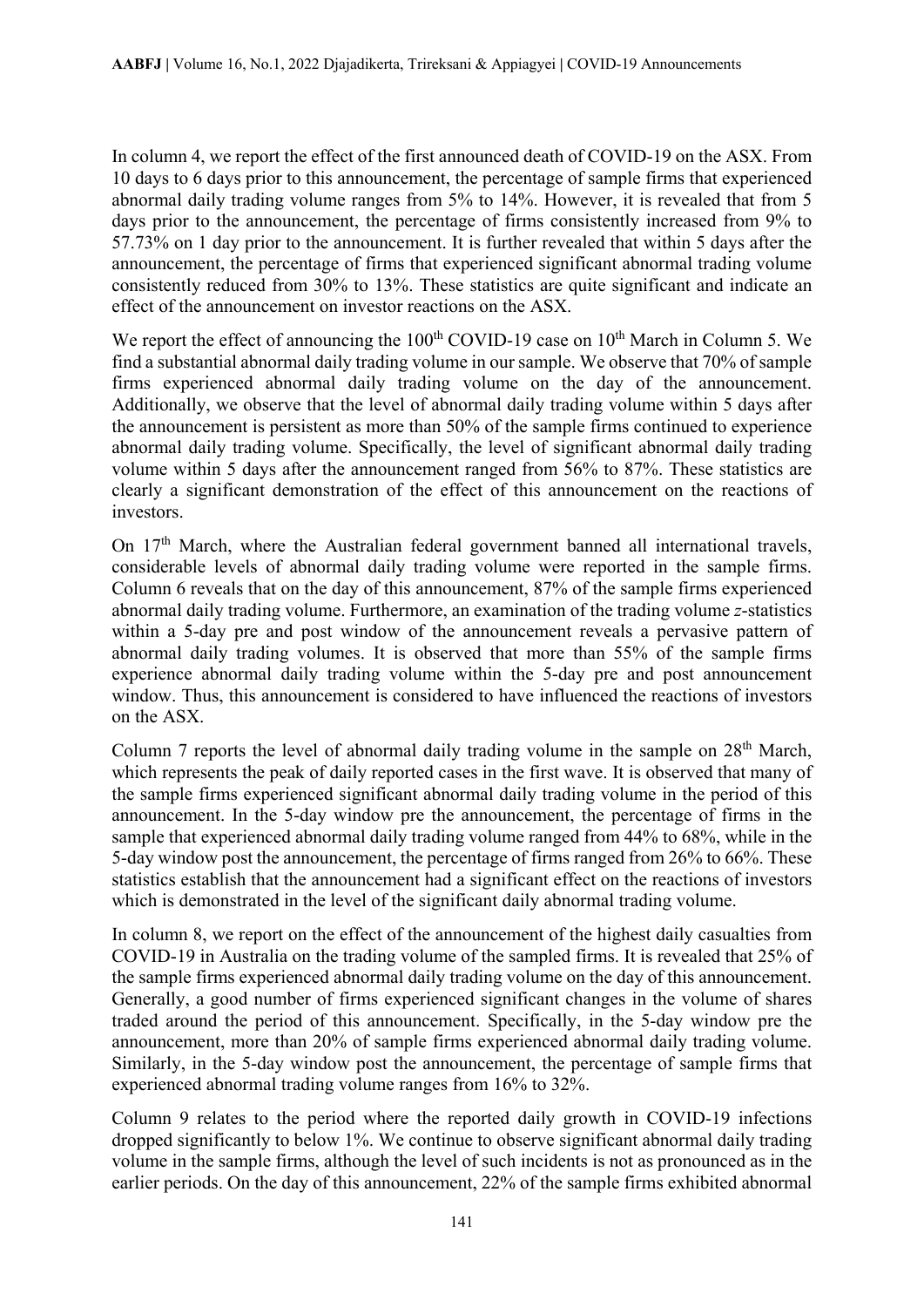In column 4, we report the effect of the first announced death of COVID-19 on the ASX. From 10 days to 6 days prior to this announcement, the percentage of sample firms that experienced abnormal daily trading volume ranges from 5% to 14%. However, it is revealed that from 5 days prior to the announcement, the percentage of firms consistently increased from 9% to 57.73% on 1 day prior to the announcement. It is further revealed that within 5 days after the announcement, the percentage of firms that experienced significant abnormal trading volume consistently reduced from 30% to 13%. These statistics are quite significant and indicate an effect of the announcement on investor reactions on the ASX.

We report the effect of announcing the  $100<sup>th</sup>$  COVID-19 case on  $10<sup>th</sup>$  March in Column 5. We find a substantial abnormal daily trading volume in our sample. We observe that 70% of sample firms experienced abnormal daily trading volume on the day of the announcement. Additionally, we observe that the level of abnormal daily trading volume within 5 days after the announcement is persistent as more than 50% of the sample firms continued to experience abnormal daily trading volume. Specifically, the level of significant abnormal daily trading volume within 5 days after the announcement ranged from 56% to 87%. These statistics are clearly a significant demonstration of the effect of this announcement on the reactions of investors.

On  $17<sup>th</sup>$  March, where the Australian federal government banned all international travels, considerable levels of abnormal daily trading volume were reported in the sample firms. Column 6 reveals that on the day of this announcement, 87% of the sample firms experienced abnormal daily trading volume. Furthermore, an examination of the trading volume *z*-statistics within a 5-day pre and post window of the announcement reveals a pervasive pattern of abnormal daily trading volumes. It is observed that more than 55% of the sample firms experience abnormal daily trading volume within the 5-day pre and post announcement window. Thus, this announcement is considered to have influenced the reactions of investors on the ASX.

Column 7 reports the level of abnormal daily trading volume in the sample on  $28<sup>th</sup>$  March, which represents the peak of daily reported cases in the first wave. It is observed that many of the sample firms experienced significant abnormal daily trading volume in the period of this announcement. In the 5-day window pre the announcement, the percentage of firms in the sample that experienced abnormal daily trading volume ranged from 44% to 68%, while in the 5-day window post the announcement, the percentage of firms ranged from 26% to 66%. These statistics establish that the announcement had a significant effect on the reactions of investors which is demonstrated in the level of the significant daily abnormal trading volume.

In column 8, we report on the effect of the announcement of the highest daily casualties from COVID-19 in Australia on the trading volume of the sampled firms. It is revealed that 25% of the sample firms experienced abnormal daily trading volume on the day of this announcement. Generally, a good number of firms experienced significant changes in the volume of shares traded around the period of this announcement. Specifically, in the 5-day window pre the announcement, more than 20% of sample firms experienced abnormal daily trading volume. Similarly, in the 5-day window post the announcement, the percentage of sample firms that experienced abnormal trading volume ranges from 16% to 32%.

Column 9 relates to the period where the reported daily growth in COVID-19 infections dropped significantly to below 1%. We continue to observe significant abnormal daily trading volume in the sample firms, although the level of such incidents is not as pronounced as in the earlier periods. On the day of this announcement, 22% of the sample firms exhibited abnormal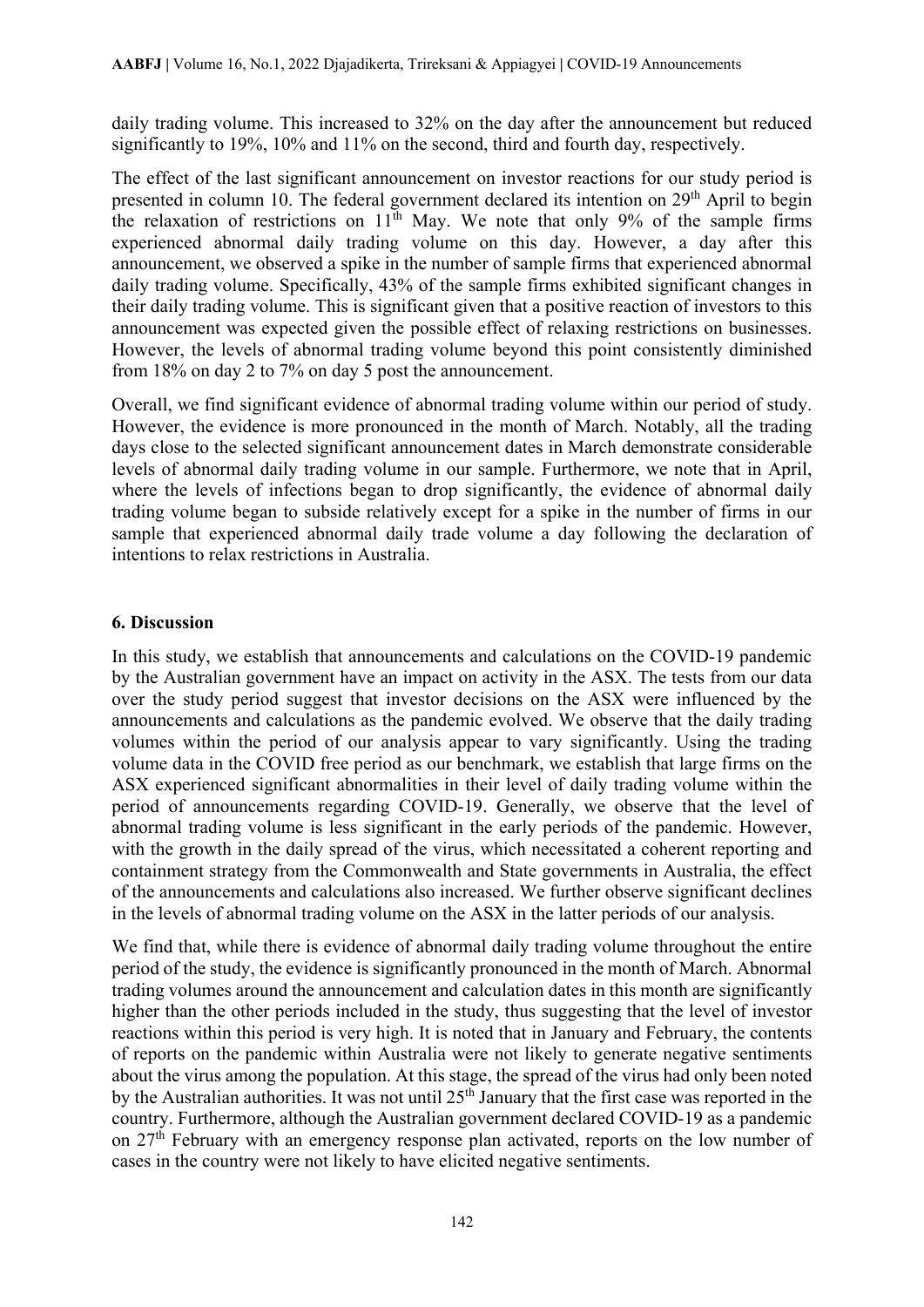daily trading volume. This increased to 32% on the day after the announcement but reduced significantly to 19%, 10% and 11% on the second, third and fourth day, respectively.

The effect of the last significant announcement on investor reactions for our study period is presented in column 10. The federal government declared its intention on 29<sup>th</sup> April to begin the relaxation of restrictions on  $11<sup>th</sup>$  May. We note that only 9% of the sample firms experienced abnormal daily trading volume on this day. However, a day after this announcement, we observed a spike in the number of sample firms that experienced abnormal daily trading volume. Specifically, 43% of the sample firms exhibited significant changes in their daily trading volume. This is significant given that a positive reaction of investors to this announcement was expected given the possible effect of relaxing restrictions on businesses. However, the levels of abnormal trading volume beyond this point consistently diminished from 18% on day 2 to 7% on day 5 post the announcement.

Overall, we find significant evidence of abnormal trading volume within our period of study. However, the evidence is more pronounced in the month of March. Notably, all the trading days close to the selected significant announcement dates in March demonstrate considerable levels of abnormal daily trading volume in our sample. Furthermore, we note that in April, where the levels of infections began to drop significantly, the evidence of abnormal daily trading volume began to subside relatively except for a spike in the number of firms in our sample that experienced abnormal daily trade volume a day following the declaration of intentions to relax restrictions in Australia.

#### **6. Discussion**

In this study, we establish that announcements and calculations on the COVID-19 pandemic by the Australian government have an impact on activity in the ASX. The tests from our data over the study period suggest that investor decisions on the ASX were influenced by the announcements and calculations as the pandemic evolved. We observe that the daily trading volumes within the period of our analysis appear to vary significantly. Using the trading volume data in the COVID free period as our benchmark, we establish that large firms on the ASX experienced significant abnormalities in their level of daily trading volume within the period of announcements regarding COVID-19. Generally, we observe that the level of abnormal trading volume is less significant in the early periods of the pandemic. However, with the growth in the daily spread of the virus, which necessitated a coherent reporting and containment strategy from the Commonwealth and State governments in Australia, the effect of the announcements and calculations also increased. We further observe significant declines in the levels of abnormal trading volume on the ASX in the latter periods of our analysis.

We find that, while there is evidence of abnormal daily trading volume throughout the entire period of the study, the evidence is significantly pronounced in the month of March. Abnormal trading volumes around the announcement and calculation dates in this month are significantly higher than the other periods included in the study, thus suggesting that the level of investor reactions within this period is very high. It is noted that in January and February, the contents of reports on the pandemic within Australia were not likely to generate negative sentiments about the virus among the population. At this stage, the spread of the virus had only been noted by the Australian authorities. It was not until 25<sup>th</sup> January that the first case was reported in the country. Furthermore, although the Australian government declared COVID-19 as a pandemic on 27<sup>th</sup> February with an emergency response plan activated, reports on the low number of cases in the country were not likely to have elicited negative sentiments.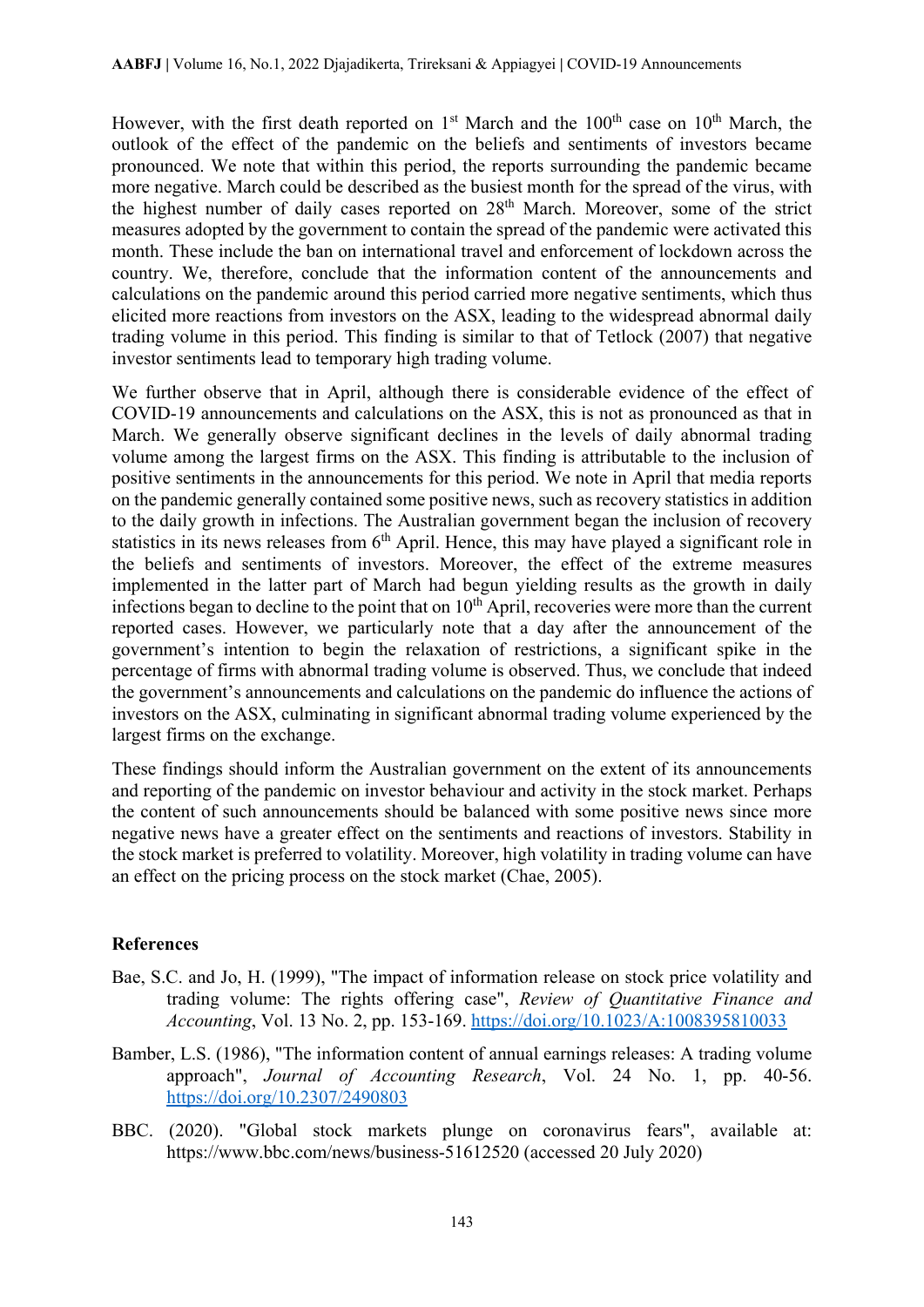However, with the first death reported on  $1<sup>st</sup>$  March and the  $100<sup>th</sup>$  case on  $10<sup>th</sup>$  March, the outlook of the effect of the pandemic on the beliefs and sentiments of investors became pronounced. We note that within this period, the reports surrounding the pandemic became more negative. March could be described as the busiest month for the spread of the virus, with the highest number of daily cases reported on 28<sup>th</sup> March. Moreover, some of the strict measures adopted by the government to contain the spread of the pandemic were activated this month. These include the ban on international travel and enforcement of lockdown across the country. We, therefore, conclude that the information content of the announcements and calculations on the pandemic around this period carried more negative sentiments, which thus elicited more reactions from investors on the ASX, leading to the widespread abnormal daily trading volume in this period. This finding is similar to that of Tetlock (2007) that negative investor sentiments lead to temporary high trading volume.

We further observe that in April, although there is considerable evidence of the effect of COVID-19 announcements and calculations on the ASX, this is not as pronounced as that in March. We generally observe significant declines in the levels of daily abnormal trading volume among the largest firms on the ASX. This finding is attributable to the inclusion of positive sentiments in the announcements for this period. We note in April that media reports on the pandemic generally contained some positive news, such as recovery statistics in addition to the daily growth in infections. The Australian government began the inclusion of recovery statistics in its news releases from 6<sup>th</sup> April. Hence, this may have played a significant role in the beliefs and sentiments of investors. Moreover, the effect of the extreme measures implemented in the latter part of March had begun yielding results as the growth in daily infections began to decline to the point that on  $10<sup>th</sup>$  April, recoveries were more than the current reported cases. However, we particularly note that a day after the announcement of the government's intention to begin the relaxation of restrictions, a significant spike in the percentage of firms with abnormal trading volume is observed. Thus, we conclude that indeed the government's announcements and calculations on the pandemic do influence the actions of investors on the ASX, culminating in significant abnormal trading volume experienced by the largest firms on the exchange.

These findings should inform the Australian government on the extent of its announcements and reporting of the pandemic on investor behaviour and activity in the stock market. Perhaps the content of such announcements should be balanced with some positive news since more negative news have a greater effect on the sentiments and reactions of investors. Stability in the stock market is preferred to volatility. Moreover, high volatility in trading volume can have an effect on the pricing process on the stock market (Chae, 2005).

## **References**

- Bae, S.C. and Jo, H. (1999), "The impact of information release on stock price volatility and trading volume: The rights offering case", *Review of Quantitative Finance and Accounting*, Vol. 13 No. 2, pp. 153-169.<https://doi.org/10.1023/A:1008395810033>
- Bamber, L.S. (1986), "The information content of annual earnings releases: A trading volume approach", *Journal of Accounting Research*, Vol. 24 No. 1, pp. 40-56. <https://doi.org/10.2307/2490803>
- BBC. (2020). "Global stock markets plunge on coronavirus fears", available at: https://www.bbc.com/news/business-51612520 (accessed 20 July 2020)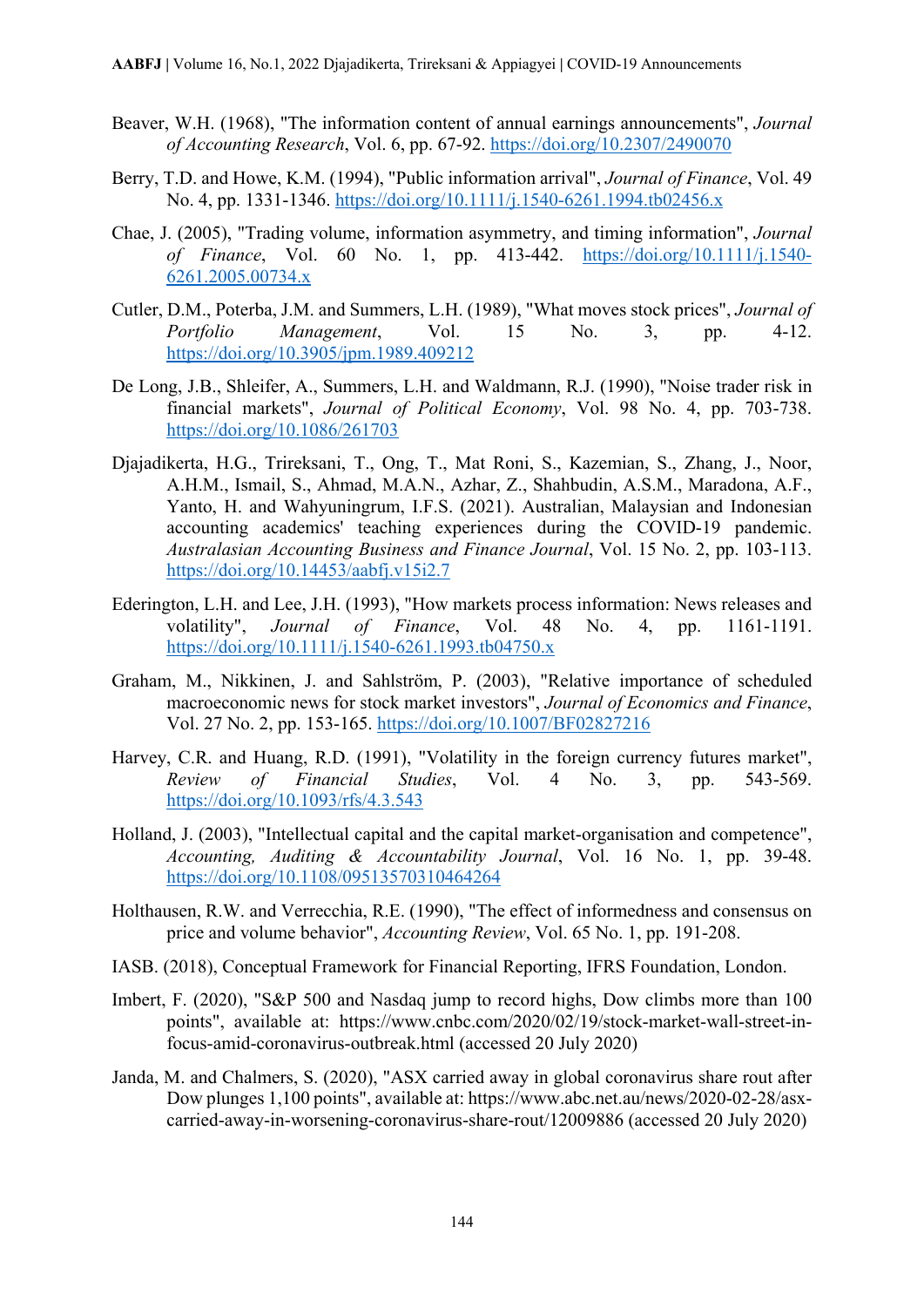- Beaver, W.H. (1968), "The information content of annual earnings announcements", *Journal of Accounting Research*, Vol. 6, pp. 67-92.<https://doi.org/10.2307/2490070>
- Berry, T.D. and Howe, K.M. (1994), "Public information arrival", *Journal of Finance*, Vol. 49 No. 4, pp. 1331-1346.<https://doi.org/10.1111/j.1540-6261.1994.tb02456.x>
- Chae, J. (2005), "Trading volume, information asymmetry, and timing information", *Journal of Finance*, Vol. 60 No. 1, pp. 413-442. [https://doi.org/10.1111/j.1540-](https://doi.org/10.1111/j.1540-6261.2005.00734.x) [6261.2005.00734.x](https://doi.org/10.1111/j.1540-6261.2005.00734.x)
- Cutler, D.M., Poterba, J.M. and Summers, L.H. (1989), "What moves stock prices", *Journal of Portfolio Management*, Vol. 15 No. 3, pp. 4-12. <https://doi.org/10.3905/jpm.1989.409212>
- De Long, J.B., Shleifer, A., Summers, L.H. and Waldmann, R.J. (1990), "Noise trader risk in financial markets", *Journal of Political Economy*, Vol. 98 No. 4, pp. 703-738. <https://doi.org/10.1086/261703>
- Djajadikerta, H.G., Trireksani, T., Ong, T., Mat Roni, S., Kazemian, S., Zhang, J., Noor, A.H.M., Ismail, S., Ahmad, M.A.N., Azhar, Z., Shahbudin, A.S.M., Maradona, A.F., Yanto, H. and Wahyuningrum, I.F.S. (2021). Australian, Malaysian and Indonesian accounting academics' teaching experiences during the COVID-19 pandemic. *Australasian Accounting Business and Finance Journal*, Vol. 15 No. 2, pp. 103-113. <https://doi.org/10.14453/aabfj.v15i2.7>
- Ederington, L.H. and Lee, J.H. (1993), "How markets process information: News releases and volatility", *Journal of Finance*, Vol. 48 No. 4, pp. 1161-1191. <https://doi.org/10.1111/j.1540-6261.1993.tb04750.x>
- Graham, M., Nikkinen, J. and Sahlström, P. (2003), "Relative importance of scheduled macroeconomic news for stock market investors", *Journal of Economics and Finance*, Vol. 27 No. 2, pp. 153-165.<https://doi.org/10.1007/BF02827216>
- Harvey, C.R. and Huang, R.D. (1991), "Volatility in the foreign currency futures market", *Review of Financial Studies*, Vol. 4 No. 3, pp. 543-569. <https://doi.org/10.1093/rfs/4.3.543>
- Holland, J. (2003), "Intellectual capital and the capital market-organisation and competence", *Accounting, Auditing & Accountability Journal*, Vol. 16 No. 1, pp. 39-48. <https://doi.org/10.1108/09513570310464264>
- Holthausen, R.W. and Verrecchia, R.E. (1990), "The effect of informedness and consensus on price and volume behavior", *Accounting Review*, Vol. 65 No. 1, pp. 191-208.
- IASB. (2018), Conceptual Framework for Financial Reporting, IFRS Foundation, London.
- Imbert, F. (2020), "S&P 500 and Nasdaq jump to record highs, Dow climbs more than 100 points", available at: https://www.cnbc.com/2020/02/19/stock-market-wall-street-infocus-amid-coronavirus-outbreak.html (accessed 20 July 2020)
- Janda, M. and Chalmers, S. (2020), "ASX carried away in global coronavirus share rout after Dow plunges 1,100 points", available at: https://www.abc.net.au/news/2020-02-28/asxcarried-away-in-worsening-coronavirus-share-rout/12009886 (accessed 20 July 2020)